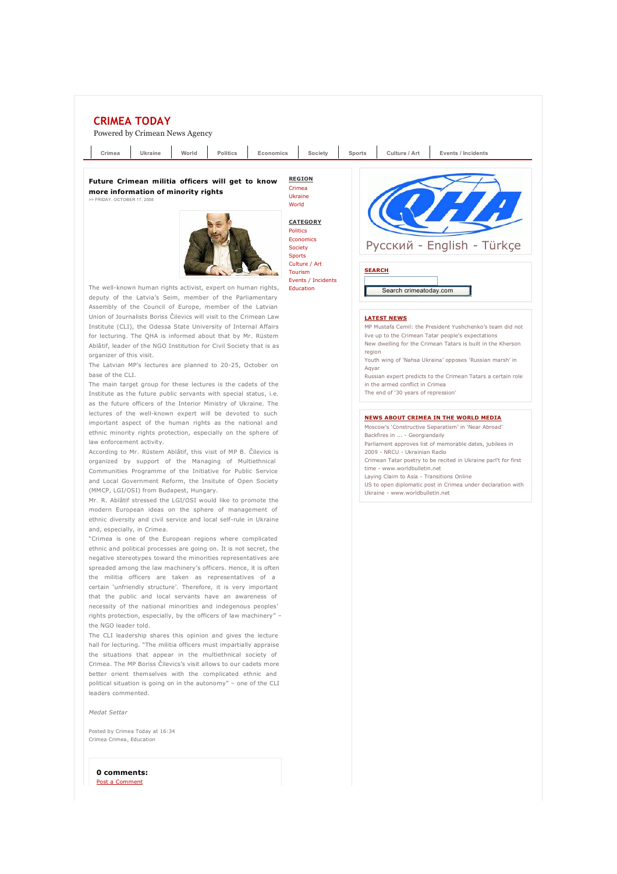

Post a Comment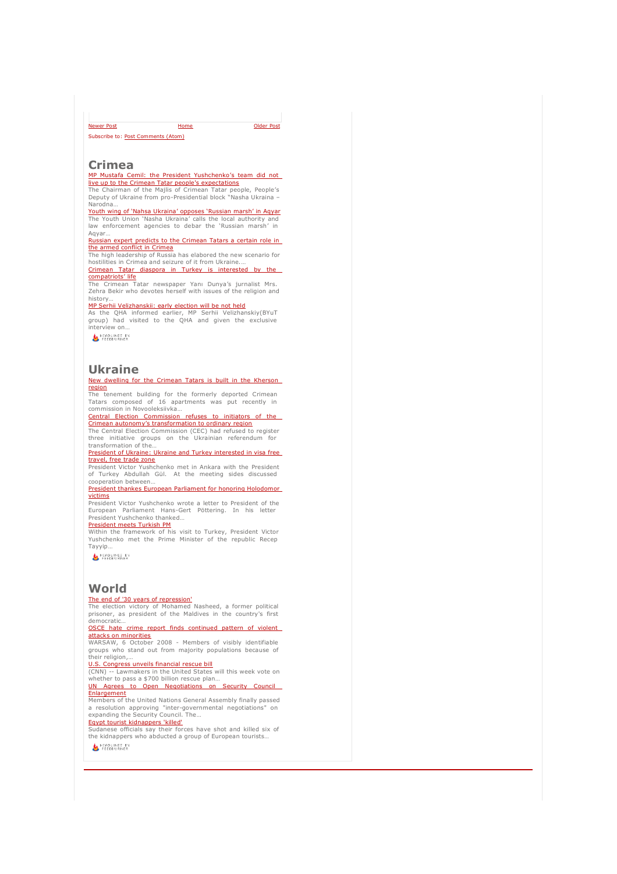Home Subscribe to: Post Comments (Atom) newer Post **Contract Contract Contract Contract Contract Contract Contract Contract Contract Contract Contract Contract Contract Contract Contract Contract Contract Contract Contract Contract Contract Contract Contract Con** 

### **Crimea**

MP Mustafa Cemil: the President Yushchenko's team did not

<mark>live up to the Crimean Tatar people's expectations</mark><br>The Chairman of the Majlis of Crimean Tatar people, People*'*s<br>Deputy of Ukraine from pro-Presidential block "Nasha Ukraina – Narodna…

<mark>Youth wing of 'Nahsa Ukraina' opposes 'Russian marsh' in Aqyar</mark><br>The Youth Union 'Nasha Ukraina' calls the local authority and<br>law enforcement agencies to debar the `Russian marsh' in Aqyar…

Russian expert predicts to the Crimean Tatars a certain role in

**the armed conflict in Crimea**<br>The high leadership of Russia has elabored the new scenario for<br>hostilities in Crimea and seizure of it from Ukraine.…

Crimean Tatar diaspora in Turkey is interested by the compatriots' life

The Crimean Tatar newspaper Yanı Dunya's jurnalist Mrs. Zehra Bekir who devotes herself with issues of the religion and history…

MP Serhii Velizhanskii: early election will be not held As the QHA informed earlier, MP Serhii Velizhanskiy(BYuT group) had visited to the QHA and given the exclusive interview on…

**MEADLINES BY**<br>FEEDBURNER

## **Ukraine**

### New dwelling for the Crimean Tatars is built in the Kherson region

The tenement building for the formerly deported Crimean Tatars composed of 16 apartments was put recently in commission in Novooleksiivka…

Central Election Commission refuses to initiators of

<mark>Crimean autonomy's transformation to ordinary region</mark><br>The Central Election Commission (CEC) had refused to register

three initiative groups on the Ukrainian referendum for<br>transformation.of.the…<br><u>President.of Ukraine: Ukraine.and.Turkey.interested.in.visa.free.</u>

<mark>travel, free trade zone</mark><br>President Victor Yushchenko met in Ankara with the President

of Turkey Abdullah Gül. At the meeting sides discussed cooperation between… President thankes European Parliament for honoring Hol

victims **President Victor Yushchenko wrote a letter to President of the** 

European Parliament Hans-Gert Pöttering. In his letter President Yushchenko thanked…

# <u>President meets Turkish PM</u><br>Within the framework of his visit to Turkey, President Victor

Yushchenko met the Prime Minister of the republic Recep Tayyip…

HEADLINES BY

## **World**

The end of '30 years of repression' The election victory of Mohamed Nasheed, a former political prisoner, as president of the Maldives in the country's first democratic…

OSCE hate crime report finds continued pattern attacks on minorities

WARSAW, 6 October 2008 - Members of visibly identifiable groups who stand out from majority populations because of their religion

U.S. Congress unveils financial rescue bill

(CNN) -- Lawmakers in the United States will this week vote on whether to pass a \$700 billion rescue plan…

UN Agrees to Open Negotiations on Security Council **Enlargement** 

**Emargement**<br>Members of the United Nations General Assembly finally passed a resolution approving "inter-governmental negotiations" on expanding the Security Council. The… Egypt tourist kidnappers 'killed'

Sudanese officials say their forces have shot and killed six of the kidnappers who abducted a group of European tourists…

HEADLINES BY